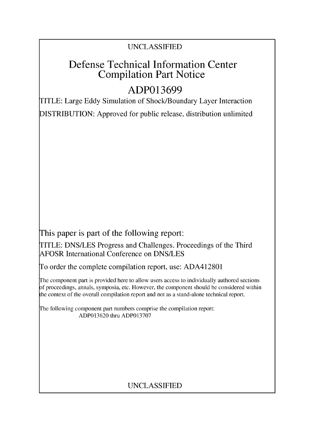### UNCLASSIFIED

## Defense Technical Information Center Compilation Part Notice

# **ADP013699**

TITLE: Large Eddy Simulation of Shock/Boundary Layer Interaction DISTRIBUTION: Approved for public release, distribution unlimited

This paper is part of the following report:

TITLE: DNS/LES Progress and Challenges. Proceedings of the Third AFOSR International Conference on DNS/LES

To order the complete compilation report, use: ADA412801

The component part is provided here to allow users access to individually authored sections f proceedings, annals, symposia, etc. However, the component should be considered within the context of the overall compilation report and not as a stand-alone technical report.

The following component part numbers comprise the compilation report: ADP013620 thru ADP013707

## UNCLASSIFIED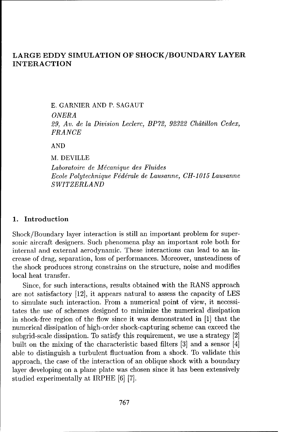### LARGE EDDY SIMULATION OF SHOCK/BOUNDARY LAYER **INTERACTION**

E. GARNIER AND P. SAGAUT *ONERA 29, Av. de la Division Leclerc, BP72, 92322 Chdtillon Cedex, FRANCE*

AND

M. DEVILLE

*Laboratoire de M6canique des Fluides Ecole Polytechnique F6ddrale de Lausanne, CH-1015* Lausanne *SWITZERLAND*

#### 1. Introduction

Shock/Boundary layer interaction is still an important problem for supersonic aircraft designers. Such phenomena play an important role both for internal and external aerodynamic. These interactions can lead to an increase of drag, separation, loss of performances. Moreover, unsteadiness of the shock produces strong constrains on the structure, noise and modifies local heat transfer.

Since, for such interactions, results obtained with the RANS approach are not satisfactory [12], it appears natural to assess the capacity of LES to simulate such interaction. From a numerical point of view, it necessitates the use of schemes designed to minimize the numerical dissipation in shock-free region of the flow since it was demonstrated in [1] that the numerical dissipation of high-order shock-capturing scheme can exceed the subgrid-scale dissipation. To satisfy this requirement, we use a strategy [2] built on the mixing of the characteristic based filters **[3]** and a sensor [4] able to distinguish a turbulent fluctuation from a shock. To validate this approach, the case of the interaction of an oblique shock with a boundary layer developing on a plane plate was chosen since it has been extensively studied experimentally at IRPHE **[6]** [7].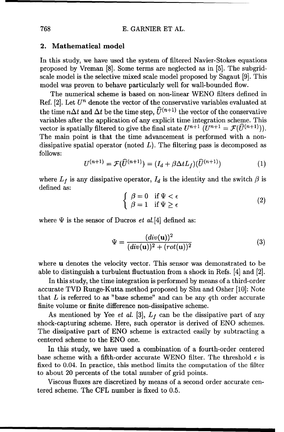#### 2. Mathematical model

In this study, we have used the system of filtered Navier-Stokes equations proposed by Vreman [8]. Some terms are neglected as in [5]. The subgridscale model is the selective mixed scale model proposed by Sagaut [9]. This model was proven to behave particularly well for wall-bounded flow.

The numerical scheme is based on non-linear WENO filters defined in Ref.  $[2]$ . Let  $U^n$  denote the vector of the conservative variables evaluated at the time  $n\Delta t$  and  $\Delta t$  be the time step,  $\widehat{U}^{(n+1)}$  the vector of the conservative variables after the application of any explicit time integration scheme. This vector is spatially filtered to give the final state  $U^{n+1}$   $(U^{n+1} = \mathcal{F}(\widehat{U}^{(n+1)}))$ . The main point is that the time advancement is performed with a nondissipative spatial operator (noted  $L$ ). The filtering pass is decomposed as follows:

$$
U^{(n+1)} = \mathcal{F}(\widehat{U}^{(n+1)}) = (I_d + \beta \Delta t L_f)(\widehat{U}^{(n+1)})
$$
\n(1)

where  $L_f$  is any dissipative operator,  $I_d$  is the identity and the switch  $\beta$  is defined as:  $\int \beta = 0$  if  $\Psi < \epsilon$ 

$$
\begin{cases}\n\beta = 0 & \text{if } \Psi < \epsilon \\
\beta = 1 & \text{if } \Psi \ge \epsilon\n\end{cases}
$$
\n(2)

where  $\Psi$  is the sensor of Ducros *et al.*[4] defined as:

$$
\Psi = \frac{(div(\mathbf{u}))^2}{(div(\mathbf{u}))^2 + (rot(\mathbf{u}))^2}
$$
(3)

where u denotes the velocity vector. This sensor was demonstrated to be able to distinguish a turbulent fluctuation from a shock in Refs. [4] and [2].

In this study, the time integration is performed by means of a third-order accurate TVD Runge-Kutta method proposed by Shu and Osher [10]: Note that  $L$  is referred to as "base scheme" and can be any qth order accurate finite volume or finite difference non-dissipative scheme.

As mentioned by Yee *et al.* [3],  $L_f$  can be the dissipative part of any shock-capturing scheme. Here, such operator is derived of ENO schemes. The dissipative part of ENO scheme is extracted easily by subtracting a centered scheme to the ENO one.

In this study, we have used a combination of a fourth-order centered base scheme with a fifth-order accurate WENO filter. The threshold  $\epsilon$  is fixed to 0.04. In practice, this method limits the computation of the filter to about 20 percents of the total number of grid points.

Viscous fluxes are discretized by means of a second order accurate centered scheme. The CFL number is fixed to 0.5.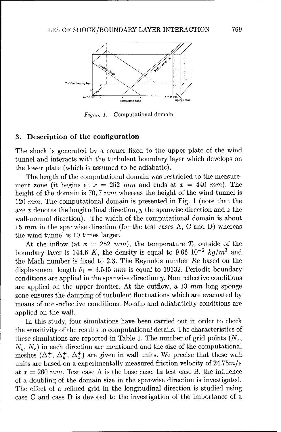

*Figure* 1. Computational domain

#### **3.** Description of the configuration

The shock is generated by a corner fixed to the upper plate of the wind tunnel and interacts with the turbulent boundary layer which develops on the lower plate (which is assumed to be adiabatic).

The length of the computational domain was restricted to the measurement zone (it begins at  $x = 252$  mm and ends at  $x = 440$  mm). The height of the domain is 70, 7 *mm* whereas the height of the wind tunnel is 120 *mm.* The computational domain is presented in Fig. 1 (note that the axe  $x$  denotes the longitudinal direction,  $y$  the spanwise direction and  $z$  the wall-normal direction). The width of the computational domain is about 15  $mm$  in the spanwise direction (for the test cases A, C and D) whereas the wind tunnel is 10 times larger.

At the inflow (at  $x = 252$  mm), the temperature  $T_e$  outside of the boundary layer is 144.6 K, the density is equal to 9.66  $10^{-2}$   $kg/m^3$  and the Mach number is fixed to 2.3. The Reynolds number Re based on the displacement length  $\delta_1 = 3.535$  mm is equal to 19132. Periodic boundary conditions are applied in the spanwise direction  $y$ . Non reflective conditions are applied on the upper frontier. At the outflow, a 13 mm long sponge zone ensures the damping of turbulent fluctuations which are evacuated by means of non-reflective conditions. No-slip and adiabaticity conditions are applied on the wall.

In this study, four simulations have been carried out in order to check the sensitivity of the results to computational details. The characteristics of these simulations are reported in Table 1. The number of grid points  $(N_x,$  $N_y$ ,  $N_z$ ) in each direction are mentioned and the size of the computational meshes  $(\Delta_x^+, \Delta_y^+, \Delta_z^+)$  are given in wall units. We precise that these wall units are based on a experimentally measured friction velocity of 24.75m/ at  $x = 260$  mm. Test case A is the base case. In test case B, the influence of a doubling of the domain size in the spanwise direction is investigated. The effect of a refined grid in the longitudinal direction is studied using case C and case D is devoted to the investigation of the importance of a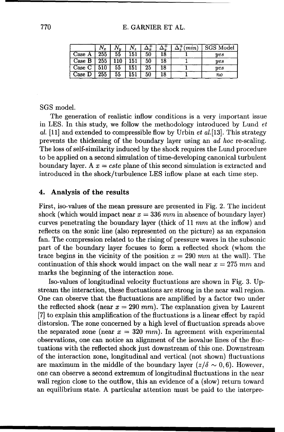|        | $N_{\bm{x}}$ |    | $N_{\rm z}$ |    |    | $\ddagger$ (min) | <b>SGS Model</b> |
|--------|--------------|----|-------------|----|----|------------------|------------------|
| Case A | 255          | 55 | 151         | 50 | 18 |                  | yes              |
| Case B | 255          |    | 151         | 50 | 18 |                  | yes              |
| Case C | 510          | 55 | 151         | 25 | 18 |                  | yes              |
| Case D | 255          | 55 | 151         | 50 | 18 |                  | no               |

#### SGS model.

The generation of realistic inflow conditions is a very important issue in LES. In this study, we follow the methodology introduced by Lund  $et$ al.  $[11]$  and extended to compressible flow by Urbin *et al.* [13]. This strategy prevents the thickening of the boundary layer using an *ad hoc* re-scaling. The loss of self-similarity induced by the shock requires the Lund procedure to be applied on a second simulation of time-developing canonical turbulent boundary layer. A  $x = cste$  plane of this second simulation is extracted and introduced in the shock/turbulence LES inflow plane at each time step.

#### 4. Analysis of the results

First, iso-values of the mean pressure are presented in Fig. 2. The incident shock (which would impact near  $x = 336$  mm in absence of boundary layer) curves penetrating the boundary layer (thick of 11 mm at the inflow) and reflects on the sonic line (also represented on the picture) as an expansion fan. The compression related to the rising of pressure waves in the subsonic part of the boundary layer focuses to form a reflected shock (whom the trace begins in the vicinity of the position  $x = 290$  mm at the wall). The continuation of this shock would impact on the wall near  $x = 275$  mm and marks the beginning of the interaction zone.

Iso-values of longitudinal velocity fluctuations are shown in Fig. 3. Upstream the interaction, these fluctuations are strong in the near wall region. One can observe that the fluctuations are amplified by a factor two under the reflected shock (near  $x = 290$  mm). The explanation given by Laurent [7] to explain this amplification of the fluctuations is a linear effect by rapid distorsion. The zone concerned by a high level of fluctuation spreads above the separated zone (near  $x = 320$  mm). In agreement with experimental observations, one can notice an alignment of the isovalue lines of the fluctuations with the reflected shock just downstream of this one. Downstream of the interaction zone, longitudinal and vertical (not shown) fluctuations are maximum in the middle of the boundary layer  $(z/\delta \sim 0, 6)$ . However, one can observe a second extremum of longitudinal fluctuations in the near wall region close to the outflow, this an evidence of a (slow) return toward an equilibrium state. A particular attention must be paid to the interpre-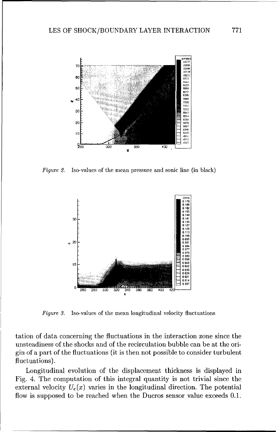

Figure 2. Iso-values of the mean pressure and sonic line (in black)



Figure 3. Iso-values of the mean longitudinal velocity fluctuations

tation of data concerning the fluctuations in the interaction zone since the unsteadiness of the shocks and of the recirculation bubble can be at the origin of a part of the fluctuations (it is then not possible to consider turbulent fluctuations).

Longitudinal evolution of the displacement thickness is displayed in Fig. 4. The computation of this integral quantity is not trivial since the external velocity  $U_e(x)$  varies in the longitudinal direction. The potential flow is supposed to be reached when the Ducros sensor value exceeds 0.1.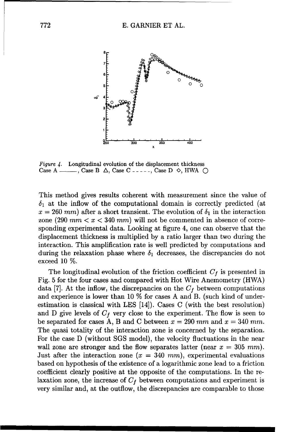

Figure 4. Longitudinal evolution of the displacement thickness Case A  $\_\_\_\_\$ , Case B  $\Delta$ , Case C  $\_\_\_\_\_\_\$ Case D  $\diamond$ , HWA  $\_\_\_\_\_\_\_\$ 

This method gives results coherent with measurement since the value of  $\delta_1$  at the inflow of the computational domain is correctly predicted (at  $x = 260$  *mm*) after a short transient. The evolution of  $\delta_1$  in the interaction zone (290  $mm < x < 340 mm$ ) will not be commented in absence of corresponding experimental data. Looking at figure 4, one can observe that the displacement thickness is multiplied by a ratio larger than two during the interaction. This amplification rate is well predicted by computations and during the relaxation phase where  $\delta_1$  decreases, the discrepancies do not exceed 10 %.

The longitudinal evolution of the friction coefficient  $C_f$  is presented in Fig. 5 for the four cases and compared with Hot Wire Anemometry (HWA) data [7]. At the inflow, the discrepancies on the  $C_f$  between computations and experience is lower than 10 % for cases A and B. (such kind of underestimation is classical with LES [14]). Cases C (with the best resolution) and D give levels of  $C_f$  very close to the experiment. The flow is seen to be separated for cases A, B and C between  $x = 290$  mm and  $x = 340$  mm. The quasi totality of the interaction zone is concerned by the separation. For the case D (without SGS model), the velocity fluctuations in the near wall zone are stronger and the flow separates latter (near  $x = 305$  mm). Just after the interaction zone  $(x = 340 \text{ mm})$ , experimental evaluations based on hypothesis of the existence of a logarithmic zone lead to a friction coefficient clearly positive at the opposite of the computations. In the relaxation zone, the increase of  $C_f$  between computations and experiment is very similar and, at the outflow, the discrepancies are comparable to those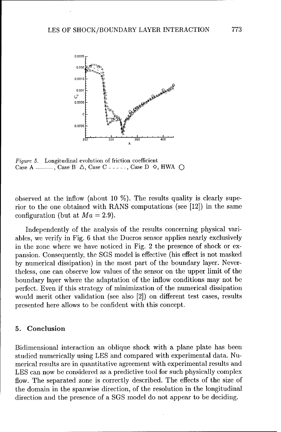

Figure 5. Longitudinal evolution of friction coefficient CaseA **--- ,** CaseB A, CaseC **------ ,CaseD 0,** HWA Q

observed at the inflow (about 10  $\%$ ). The results quality is clearly superior to the one obtained with RANS computations (see [12]) in the same configuration (but at  $Ma = 2.9$ ).

Independently of the analysis of the results concerning physical variables, we verify in Fig. 6 that the Ducros sensor applies nearly exclusively in the zone where we have noticed in Fig. 2 the presence of shock or expansion. Consequently, the SGS model is effective (his effect is not masked by numerical dissipation) in the most part of the boundary layer. Nevertheless, one can observe low values of the sensor on the upper limit of the boundary layer where the adaptation of the inflow conditions may not **be** perfect. Even if this strategy of minimization of the numerical dissipation would merit other validation (see also [2]) on different test cases, results presented here allows to be confident with this concept.

#### **5.** Conclusion

Bidimensional interaction an oblique shock with a plane plate has been studied numerically using LES and compared with experimental data. Numerical results are in quantitative agreement with experimental results and LES can now be considered as a predictive tool for such physically complex flow. The separated zone is correctly described. The effects of the size of the domain in the spanwise direction, of the resolution in the longitudinal direction and the presence of a SGS model do not appear to be deciding.